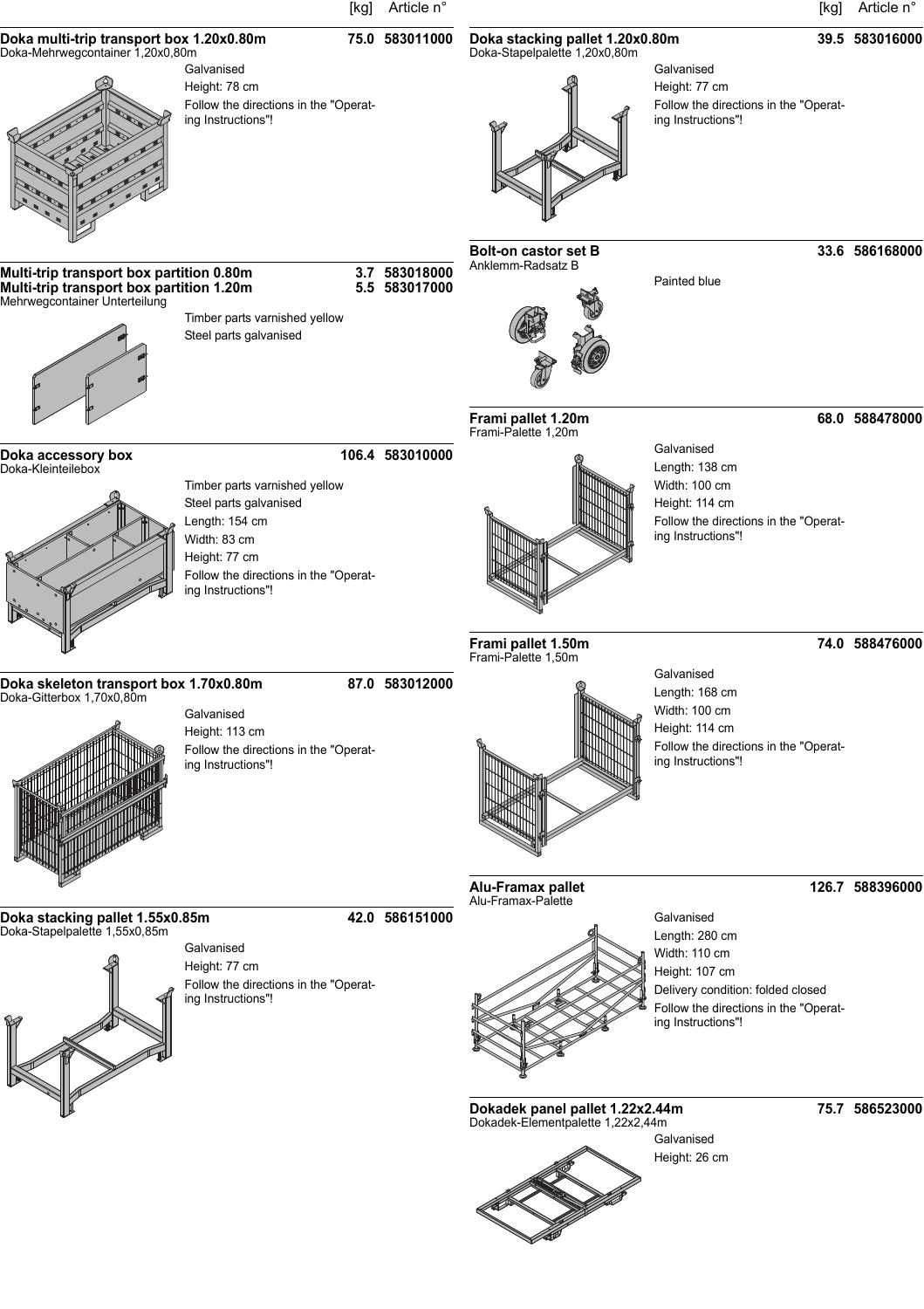